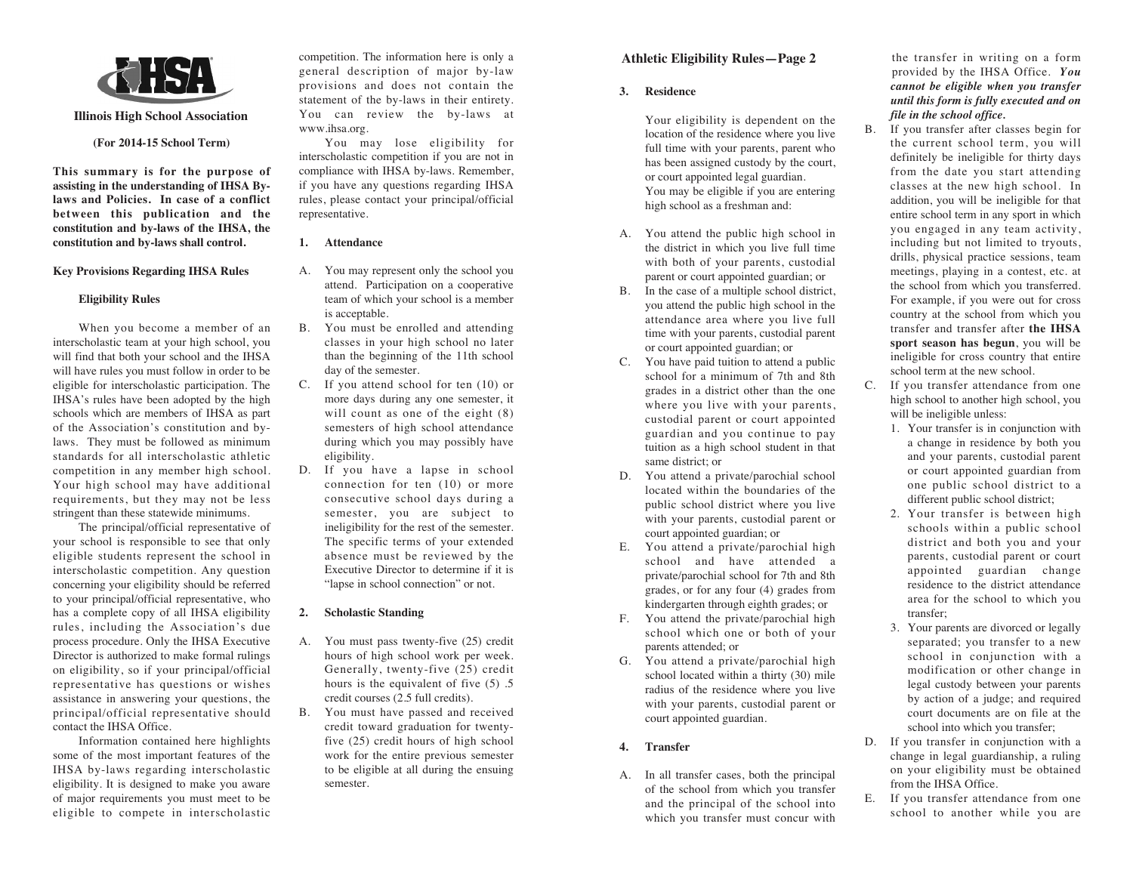

#### **Illinois High School Association**

## **(For 2014-15 School Term)**

**This summary is for the purpose of assisting in the understanding of IHSA Bylaws and Policies. In case of a conflict between this publication and the constitution and by-laws of the IHSA, the constitution and by-laws shall control.**

### **Key Provisions Regarding IHSA Rules**

## **Eligibility Rules**

When you become a member of an interscholastic team at your high school, you will find that both your school and the IHSA will have rules you must follow in order to be eligible for interscholastic participation. The IHSA's rules have been adopted by the high schools which are members of IHSA as part of the Association's constitution and bylaws. They must be followed as minimum standards for all interscholastic athletic competition in any member high school. Your high school may have additional requirements, but they may not be less stringent than these statewide minimums.

The principal/official representative of your school is responsible to see that only eligible students represent the school in interscholastic competition. Any question concerning your eligibility should be referred to your principal/official representative, who has a complete copy of all IHSA eligibility rules, including the Association's due process procedure. Only the IHSA Executive Director is authorized to make formal rulings on eligibility, so if your principal/official representative has questions or wishes assistance in answering your questions, the principal/official representative should contact the IHSA Office.

Information contained here highlights some of the most important features of the IHSA by-laws regarding interscholastic eligibility. It is designed to make you aware of major requirements you must meet to be eligible to compete in interscholastic competition. The information here is only a general description of major by-law provisions and does not contain the statement of the by-laws in their entirety. You can review the by-laws at www.ihsa.org.

You may lose eligibility for interscholastic competition if you are not in compliance with IHSA by-laws. Remember, if you have any questions regarding IHSA rules, please contact your principal/official representative.

## **1. Attendance**

- A. You may represent only the school you attend. Participation on a cooperative team of which your school is a member is acceptable.
- B. You must be enrolled and attending classes in your high school no later than the beginning of the 11th school day of the semester.
- C. If you attend school for ten (10) or more days during any one semester, it will count as one of the eight  $(8)$ semesters of high school attendance during which you may possibly have eligibility.
- D. If you have a lapse in school connection for ten (10) or more consecutive school days during a semester, you are subject to ineligibility for the rest of the semester. The specific terms of your extended absence must be reviewed by the Executive Director to determine if it is "lapse in school connection" or not.

## **2. Scholastic Standing**

- A. You must pass twenty-five (25) credit hours of high school work per week. Generally, twenty-five (25) credit hours is the equivalent of five (5) .5 credit courses (2.5 full credits).
- B. You must have passed and received credit toward graduation for twentyfive (25) credit hours of high school work for the entire previous semester to be eligible at all during the ensuing semester.

# **Athletic Eligibility Rules—Page 2**

# **3. Residence**

Your eligibility is dependent on the location of the residence where you live full time with your parents, parent who has been assigned custody by the court, or court appointed legal guardian. You may be eligible if you are entering high school as a freshman and:

- A. You attend the public high school in the district in which you live full time with both of your parents, custodial parent or court appointed guardian; or
- B. In the case of a multiple school district, you attend the public high school in the attendance area where you live full time with your parents, custodial parent or court appointed guardian; or
- C. You have paid tuition to attend a public school for a minimum of 7th and 8th grades in a district other than the one where you live with your parents, custodial parent or court appointed guardian and you continue to pay tuition as a high school student in that same district; or
- D. You attend a private/parochial school located within the boundaries of the public school district where you live with your parents, custodial parent or court appointed guardian; or
- E. You attend a private/parochial high school and have attended a private/parochial school for 7th and 8th grades, or for any four (4) grades from kindergarten through eighth grades; or
- F. You attend the private/parochial high school which one or both of your parents attended; or
- G. You attend a private/parochial high school located within a thirty (30) mile radius of the residence where you live with your parents, custodial parent or court appointed guardian.

# **4. Transfer**

A. In all transfer cases, both the principal of the school from which you transfer and the principal of the school into which you transfer must concur with

the transfer in writing on a form provided by the IHSA Office. *You cannot be eligible when you transfer until this form is fully executed and on file in the school office.*

- B. If you transfer after classes begin for the current school term, you will definitely be ineligible for thirty days from the date you start attending classes at the new high school. In addition, you will be ineligible for that entire school term in any sport in which you engaged in any team activity, including but not limited to tryouts, drills, physical practice sessions, team meetings, playing in a contest, etc. at the school from which you transferred. For example, if you were out for cross country at the school from which you transfer and transfer after **the IHSA sport season has begun**, you will be ineligible for cross country that entire school term at the new school.
- C. If you transfer attendance from one high school to another high school, you will be ineligible unless:
	- 1. Your transfer is in conjunction with a change in residence by both you and your parents, custodial parent or court appointed guardian from one public school district to a different public school district;
	- 2. Your transfer is between high schools within a public school district and both you and your parents, custodial parent or court appointed guardian change residence to the district attendance area for the school to which you transfer;
	- 3. Your parents are divorced or legally separated; you transfer to a new school in conjunction with a modification or other change in legal custody between your parents by action of a judge; and required court documents are on file at the school into which you transfer;
- D. If you transfer in conjunction with a change in legal guardianship, a ruling on your eligibility must be obtained from the IHSA Office.
- E. If you transfer attendance from one school to another while you are